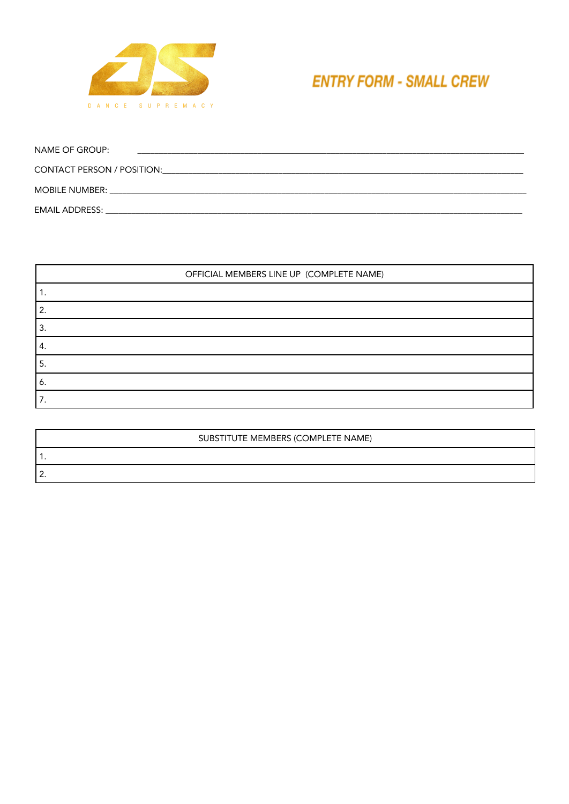

## **ENTRY FORM - SMALL CREW**

| NAME OF GROUP:                    |  |
|-----------------------------------|--|
| <b>CONTACT PERSON / POSITION:</b> |  |
| <b>MOBILE NUMBER:</b>             |  |
| <b>EMAIL ADDRESS:</b>             |  |

|    | OFFICIAL MEMBERS LINE UP (COMPLETE NAME) |
|----|------------------------------------------|
|    |                                          |
|    |                                          |
| 3. |                                          |
| 4. |                                          |
| 5. |                                          |
| 6. |                                          |
|    |                                          |

| SUBSTITUTE MEMBERS (COMPLETE NAME) |
|------------------------------------|
|                                    |
| _                                  |